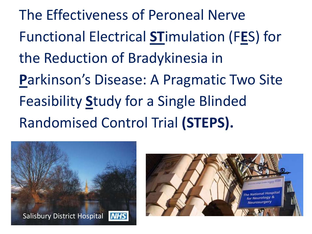The Effectiveness of Peroneal Nerve Functional Electrical **ST**imulation (F**E**S) for the Reduction of Bradykinesia in **P**arkinson's Disease: A Pragmatic Two Site Feasibility **S**tudy for a Single Blinded Randomised Control Trial **(STEPS).**



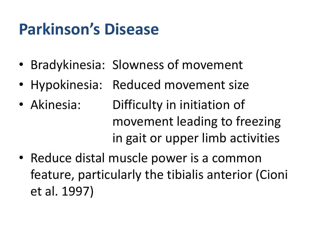# **Parkinson's Disease**

- Bradykinesia: Slowness of movement
- Hypokinesia: Reduced movement size
- Akinesia: Difficulty in initiation of movement leading to freezing in gait or upper limb activities
- Reduce distal muscle power is a common feature, particularly the tibialis anterior (Cioni et al. 1997)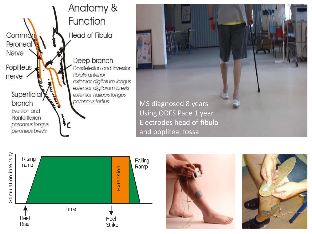







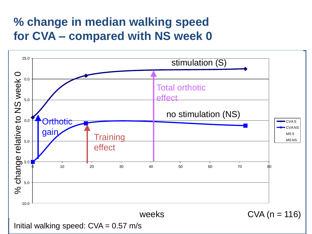#### **% change in median walking speed for CVA – compared with NS week 0**

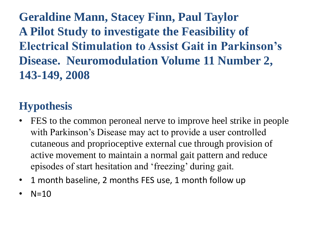**Geraldine Mann, Stacey Finn, Paul Taylor A Pilot Study to investigate the Feasibility of Electrical Stimulation to Assist Gait in Parkinson's Disease. Neuromodulation Volume 11 Number 2, 143-149, 2008** 

#### **Hypothesis**

- FES to the common peroneal nerve to improve heel strike in people with Parkinson's Disease may act to provide a user controlled cutaneous and proprioceptive external cue through provision of active movement to maintain a normal gait pattern and reduce episodes of start hesitation and 'freezing' during gait.
- 1 month baseline, 2 months FES use, 1 month follow up
- $N=10$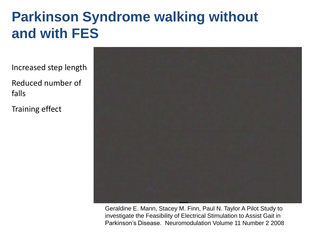## **Parkinson Syndrome walking without and with FES**

Increased step length

Reduced number of falls

Training effect



Geraldine E. Mann, Stacey M. Finn, Paul N. Taylor A Pilot Study to investigate the Feasibility of Electrical Stimulation to Assist Gait in Parkinson's Disease. Neuromodulation Volume 11 Number 2 2008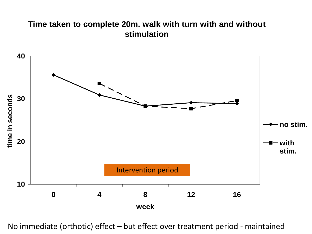#### **Time taken to complete 20m. walk with turn with and without stimulation**



No immediate (orthotic) effect – but effect over treatment period - maintained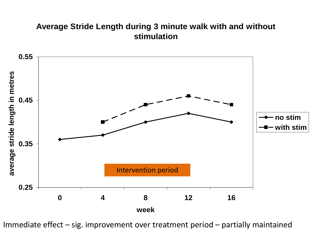#### **Average Stride Length during 3 minute walk with and without stimulation**



Immediate effect – sig. improvement over treatment period – partially maintained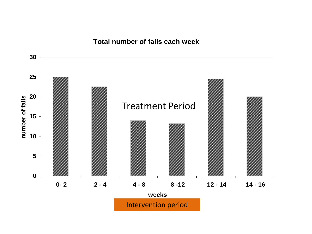#### **Total number of falls each week**

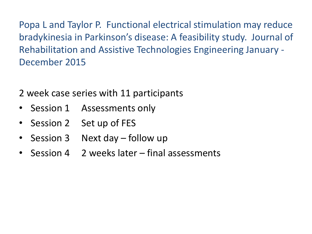Popa L and Taylor P. Functional electrical stimulation may reduce bradykinesia in Parkinson's disease: A feasibility study. Journal of Rehabilitation and Assistive Technologies Engineering January - December 2015

2 week case series with 11 participants

- Session 1 Assessments only
- Session 2 Set up of FES
- Session 3 Next day follow up
- Session 4 2 weeks later final assessments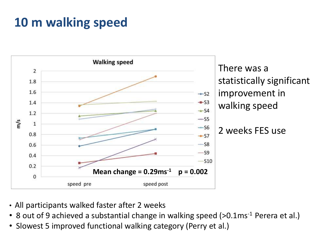## **10 m walking speed**



There was a statistically significant improvement in walking speed

2 weeks FES use

- All participants walked faster after 2 weeks
- 8 out of 9 achieved a substantial change in walking speed (>0.1ms<sup>-1</sup> Perera et al.)
- Slowest 5 improved functional walking category (Perry et al.)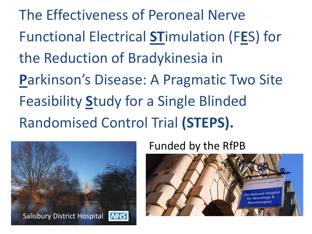The Effectiveness of Peroneal Nerve Functional Electrical **ST**imulation (F**E**S) for the Reduction of Bradykinesia in **P**arkinson's Disease: A Pragmatic Two Site Feasibility **S**tudy for a Single Blinded Randomised Control Trial **(STEPS).**



Funded by the RfPB

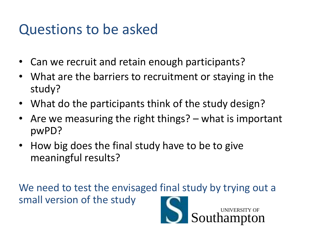## Questions to be asked

- Can we recruit and retain enough participants?
- What are the barriers to recruitment or staying in the study?
- What do the participants think of the study design?
- Are we measuring the right things? what is important pwPD?
- How big does the final study have to be to give meaningful results?

We need to test the envisaged final study by trying out a small version of the study

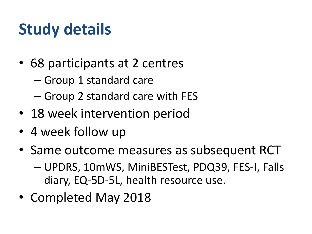# **Study details**

- 68 participants at 2 centres
	- Group 1 standard care
	- Group 2 standard care with FES
- 18 week intervention period
- 4 week follow up
- Same outcome measures as subsequent RCT – UPDRS, 10mWS, MiniBESTest, PDQ39, FES-I, Falls diary, EQ-5D-5L, health resource use.
- Completed May 2018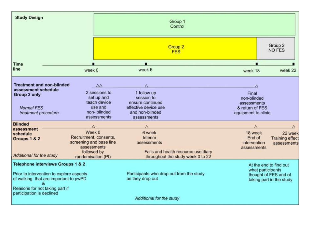| <b>Study Design</b>                                                    |                            | Group 1<br>Control                       |                                     |                          |                                                   |  |
|------------------------------------------------------------------------|----------------------------|------------------------------------------|-------------------------------------|--------------------------|---------------------------------------------------|--|
|                                                                        |                            | Group <sub>2</sub><br><b>FES</b>         |                                     | Group 2<br><b>NO FES</b> |                                                   |  |
| Time                                                                   |                            |                                          |                                     |                          |                                                   |  |
| line                                                                   | week 0                     | week 6                                   |                                     | week 18                  | week 22                                           |  |
| <b>Treatment and non-blinded</b>                                       | $\wedge\wedge$             |                                          |                                     | Δ                        |                                                   |  |
| assessment schedule                                                    | 2 sessions to              | 1 follow up                              |                                     |                          |                                                   |  |
| Group 2 only                                                           | set up and                 | session to                               |                                     | Final<br>non-blinded     |                                                   |  |
|                                                                        | teach device               | ensure continued                         |                                     | assessments              |                                                   |  |
| <b>Normal FES</b>                                                      | use and                    | effective device use                     |                                     | & return of FES          |                                                   |  |
| treatment procedure                                                    | non-blinded                | and non-blinded                          |                                     | equipment to clinic      |                                                   |  |
|                                                                        | assessments                | assessments                              |                                     |                          |                                                   |  |
| <b>Blinded</b><br>assessment                                           |                            |                                          |                                     |                          |                                                   |  |
| schedule                                                               | Week 0                     | 6 week                                   |                                     | 18 week                  | 22 week                                           |  |
| Groups 1 & 2                                                           | Recruitment, consents,     | Interim                                  |                                     | End of                   | <b>Training effect</b>                            |  |
|                                                                        | screening and base line    | assessments                              |                                     | intervention             | assessments                                       |  |
|                                                                        | assessments<br>followed by |                                          | Falls and health resource use diary | assessments              |                                                   |  |
| Additional for the study                                               | randomisation (PI)         |                                          | throughout the study week 0 to 22   |                          |                                                   |  |
| <b>Telephone interviews Groups 1 &amp; 2</b><br>At the end to find out |                            |                                          |                                     |                          |                                                   |  |
| Prior to intervention to explore aspects                               |                            | Participants who drop out from the study |                                     | what participants        |                                                   |  |
| of walking that are important to pwPD                                  |                            | as they drop out                         |                                     |                          | thought of FES and of<br>taking part in the study |  |
|                                                                        |                            |                                          |                                     |                          |                                                   |  |
| Reasons for not taking part if<br>participation is declined            |                            |                                          |                                     |                          |                                                   |  |
| Additional for the study                                               |                            |                                          |                                     |                          |                                                   |  |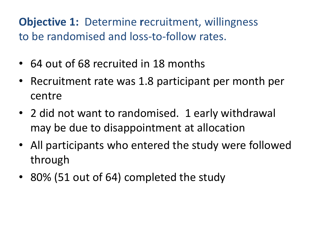#### **Objective 1:** Determine **r**ecruitment, willingness to be randomised and loss-to-follow rates.

- 64 out of 68 recruited in 18 months
- Recruitment rate was 1.8 participant per month per centre
- 2 did not want to randomised. 1 early withdrawal may be due to disappointment at allocation
- All participants who entered the study were followed through
- 80% (51 out of 64) completed the study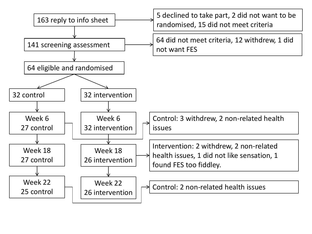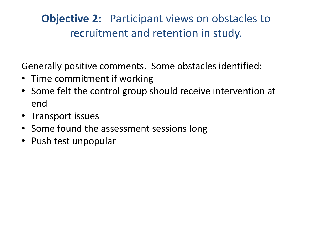#### **Objective 2:** Participant views on obstacles to recruitment and retention in study.

Generally positive comments. Some obstacles identified:

- Time commitment if working
- Some felt the control group should receive intervention at end
- Transport issues
- Some found the assessment sessions long
- Push test unpopular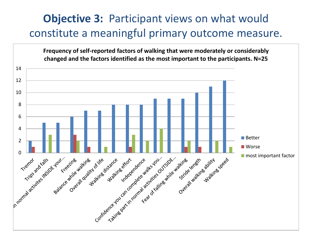#### **Objective 3:** Participant views on what would constitute a meaningful primary outcome measure.

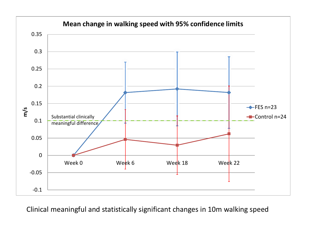

Clinical meaningful and statistically significant changes in 10m walking speed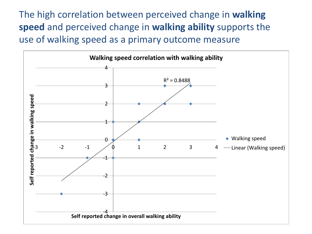The high correlation between perceived change in **walking speed** and perceived change in **walking ability** supports the use of walking speed as a primary outcome measure

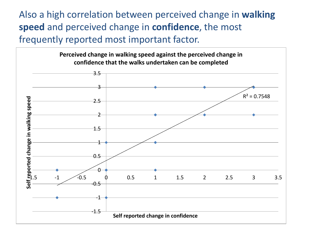Also a high correlation between perceived change in **walking speed** and perceived change in **confidence**, the most frequently reported most important factor.

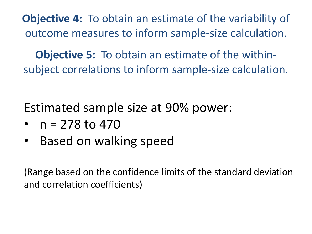**Objective 4:** To obtain an estimate of the variability of outcome measures to inform sample-size calculation.

**Objective 5:** To obtain an estimate of the withinsubject correlations to inform sample-size calculation.

Estimated sample size at 90% power:

- $n = 278$  to 470
- Based on walking speed

(Range based on the confidence limits of the standard deviation and correlation coefficients)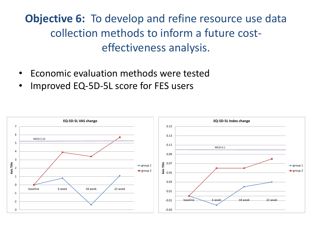### **Objective 6:** To develop and refine resource use data collection methods to inform a future costeffectiveness analysis.

- Economic evaluation methods were tested
- Improved EQ-5D-5L score for FES users

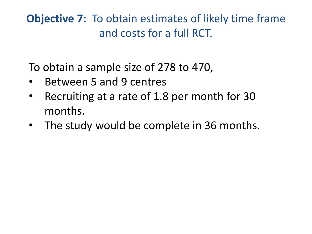**Objective 7:** To obtain estimates of likely time frame and costs for a full RCT.

To obtain a sample size of 278 to 470,

- Between 5 and 9 centres
- Recruiting at a rate of 1.8 per month for 30 months.
- The study would be complete in 36 months.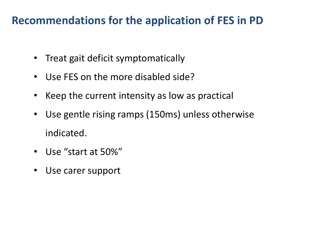#### **Recommendations for the application of FES in PD**

- Treat gait deficit symptomatically
- Use FES on the more disabled side?
- Keep the current intensity as low as practical
- Use gentle rising ramps (150ms) unless otherwise indicated.
- Use "start at 50%"
- Use carer support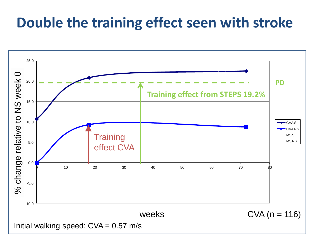## **Double the training effect seen with stroke**